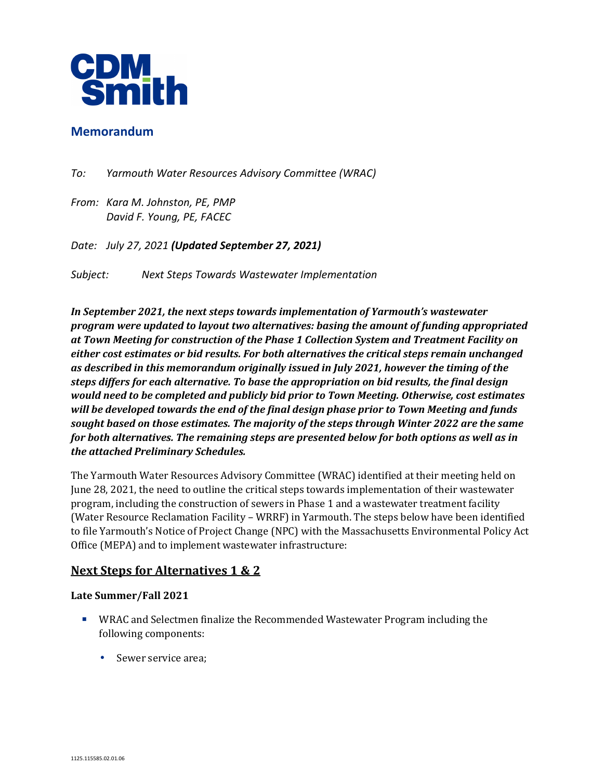

## **Memorandum**

- *To: Yarmouth Water Resources Advisory Committee (WRAC)*
- *From: Kara M. Johnston, PE, PMP David F. Young, PE, FACEC*

*Date: July 27, 2021 (Updated September 27, 2021)*

*Subject: Next Steps Towards Wastewater Implementation* 

*In September 2021, the next steps towards implementation of Yarmouth's wastewater program were updated to layout two alternatives: basing the amount of funding appropriated at Town Meeting for construction of the Phase 1 Collection System and Treatment Facility on either cost estimates or bid results. For both alternatives the critical steps remain unchanged as described in this memorandum originally issued in July 2021, however the timing of the steps differs for each alternative. To base the appropriation on bid results, the final design would need to be completed and publicly bid prior to Town Meeting. Otherwise, cost estimates will be developed towards the end of the final design phase prior to Town Meeting and funds sought based on those estimates. The majority of the steps through Winter 2022 are the same for both alternatives. The remaining steps are presented below for both options as well as in the attached Preliminary Schedules.* 

The Yarmouth Water Resources Advisory Committee (WRAC) identified at their meeting held on June 28, 2021, the need to outline the critical steps towards implementation of their wastewater program, including the construction of sewers in Phase 1 and a wastewater treatment facility (Water Resource Reclamation Facility – WRRF) in Yarmouth. The steps below have been identified to file Yarmouth's Notice of Project Change (NPC) with the Massachusetts Environmental Policy Act Office (MEPA) and to implement wastewater infrastructure:

# **Next Steps for Alternatives 1 & 2**

### **Late Summer/Fall 2021**

- WRAC and Selectmen finalize the Recommended Wastewater Program including the following components:
	- Sewer service area;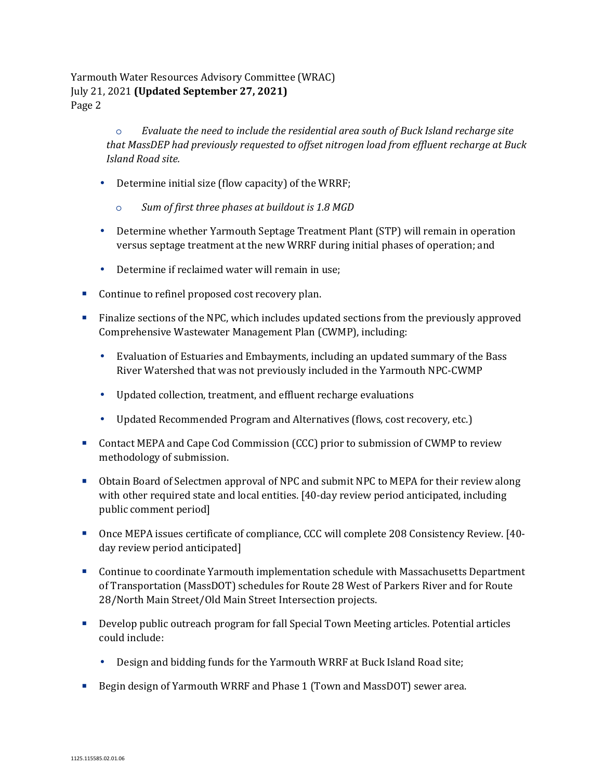> o *Evaluate the need to include the residential area south of Buck Island recharge site that MassDEP had previously requested to offset nitrogen load from effluent recharge at Buck Island Road site.*

- Determine initial size (flow capacity) of the WRRF;
	- o *Sum of first three phases at buildout is 1.8 MGD*
- Determine whether Yarmouth Septage Treatment Plant (STP) will remain in operation versus septage treatment at the new WRRF during initial phases of operation; and
- Determine if reclaimed water will remain in use;
- Continue to refinel proposed cost recovery plan.
- Finalize sections of the NPC, which includes updated sections from the previously approved Comprehensive Wastewater Management Plan (CWMP), including:
	- Evaluation of Estuaries and Embayments, including an updated summary of the Bass River Watershed that was not previously included in the Yarmouth NPC-CWMP
	- Updated collection, treatment, and effluent recharge evaluations
	- Updated Recommended Program and Alternatives (flows, cost recovery, etc.)
- Contact MEPA and Cape Cod Commission (CCC) prior to submission of CWMP to review methodology of submission.
- Obtain Board of Selectmen approval of NPC and submit NPC to MEPA for their review along with other required state and local entities. [40-day review period anticipated, including public comment period]
- Once MEPA issues certificate of compliance, CCC will complete 208 Consistency Review. [40 day review period anticipated]
- Continue to coordinate Yarmouth implementation schedule with Massachusetts Department of Transportation (MassDOT) schedules for Route 28 West of Parkers River and for Route 28/North Main Street/Old Main Street Intersection projects.
- Develop public outreach program for fall Special Town Meeting articles. Potential articles could include:
	- Design and bidding funds for the Yarmouth WRRF at Buck Island Road site;
- **Begin design of Yarmouth WRRF and Phase 1 (Town and MassDOT) sewer area.**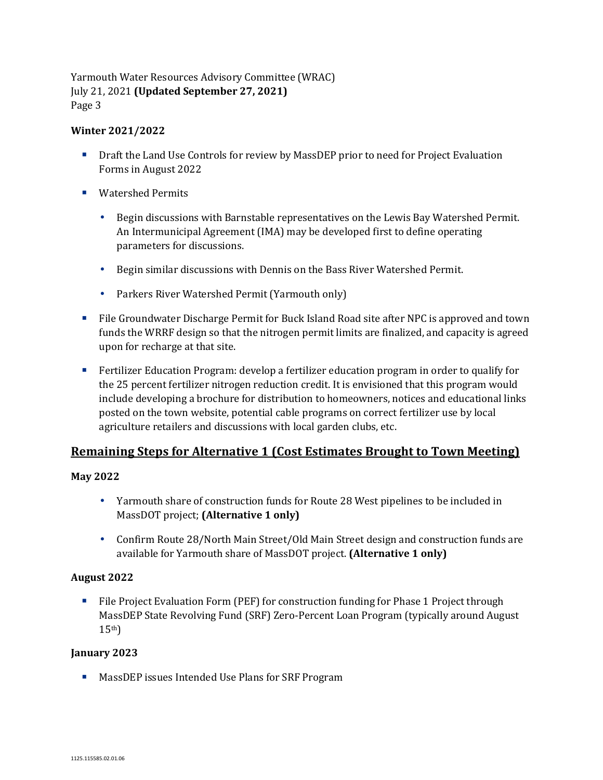### **Winter 2021/2022**

- **Draft the Land Use Controls for review by MassDEP prior to need for Project Evaluation** Forms in August 2022
- Watershed Permits
	- Begin discussions with Barnstable representatives on the Lewis Bay Watershed Permit. An Intermunicipal Agreement (IMA) may be developed first to define operating parameters for discussions.
	- Begin similar discussions with Dennis on the Bass River Watershed Permit.
	- Parkers River Watershed Permit (Yarmouth only)
- File Groundwater Discharge Permit for Buck Island Road site after NPC is approved and town funds the WRRF design so that the nitrogen permit limits are finalized, and capacity is agreed upon for recharge at that site.
- Fertilizer Education Program: develop a fertilizer education program in order to qualify for the 25 percent fertilizer nitrogen reduction credit. It is envisioned that this program would include developing a brochure for distribution to homeowners, notices and educational links posted on the town website, potential cable programs on correct fertilizer use by local agriculture retailers and discussions with local garden clubs, etc.

# **Remaining Steps for Alternative 1 (Cost Estimates Brought to Town Meeting)**

### **May 2022**

- Yarmouth share of construction funds for Route 28 West pipelines to be included in MassDOT project; **(Alternative 1 only)**
- Confirm Route 28/North Main Street/Old Main Street design and construction funds are available for Yarmouth share of MassDOT project. **(Alternative 1 only)**

### **August 2022**

File Project Evaluation Form (PEF) for construction funding for Phase 1 Project through MassDEP State Revolving Fund (SRF) Zero-Percent Loan Program (typically around August  $15<sup>th</sup>$ 

### **January 2023**

**MassDEP** issues Intended Use Plans for SRF Program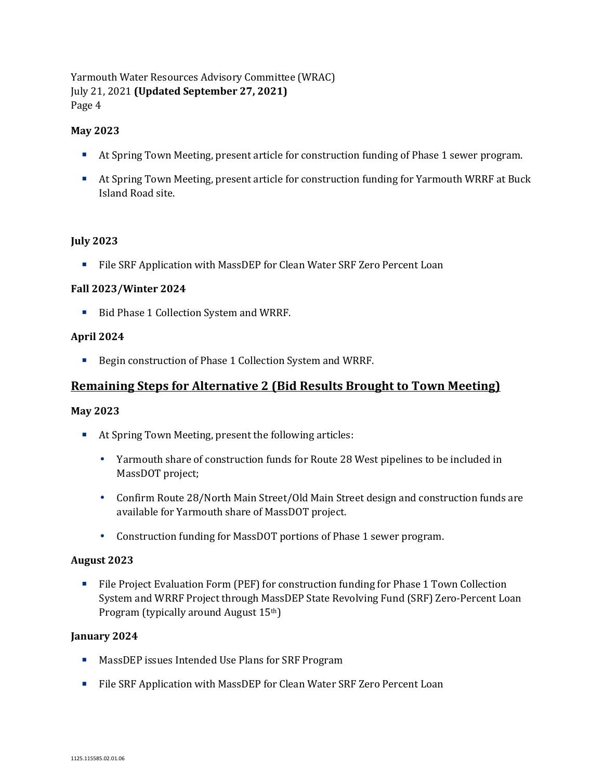### **May 2023**

- At Spring Town Meeting, present article for construction funding of Phase 1 sewer program.
- At Spring Town Meeting, present article for construction funding for Yarmouth WRRF at Buck Island Road site.

### **July 2023**

File SRF Application with MassDEP for Clean Water SRF Zero Percent Loan

### **Fall 2023/Winter 2024**

Bid Phase 1 Collection System and WRRF.

### **April 2024**

■ Begin construction of Phase 1 Collection System and WRRF.

# **Remaining Steps for Alternative 2 (Bid Results Brought to Town Meeting)**

### **May 2023**

- At Spring Town Meeting, present the following articles:
	- Yarmouth share of construction funds for Route 28 West pipelines to be included in MassDOT project;
	- Confirm Route 28/North Main Street/Old Main Street design and construction funds are available for Yarmouth share of MassDOT project.
	- Construction funding for MassDOT portions of Phase 1 sewer program.

### **August 2023**

File Project Evaluation Form (PEF) for construction funding for Phase 1 Town Collection System and WRRF Project through MassDEP State Revolving Fund (SRF) Zero-Percent Loan Program (typically around August 15th)

### **January 2024**

- **MassDEP** issues Intended Use Plans for SRF Program
- File SRF Application with MassDEP for Clean Water SRF Zero Percent Loan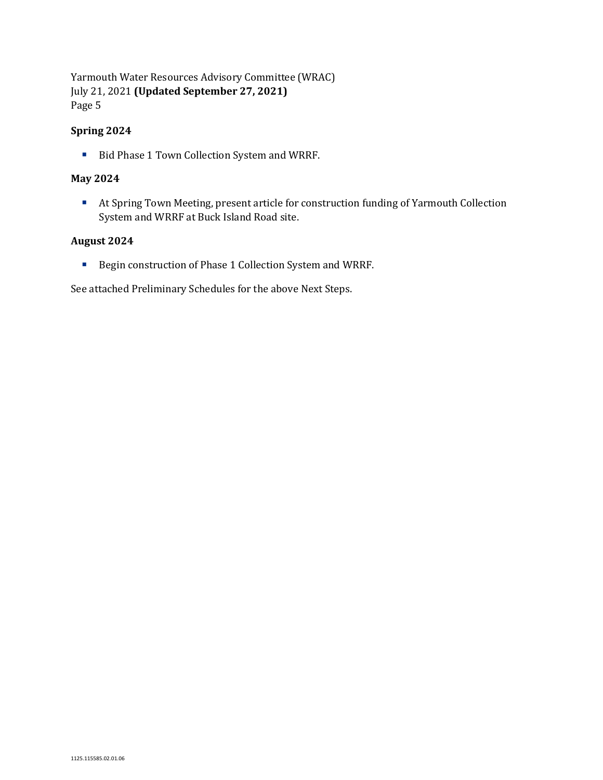### **Spring 2024**

■ Bid Phase 1 Town Collection System and WRRF.

#### **May 2024**

 At Spring Town Meeting, present article for construction funding of Yarmouth Collection System and WRRF at Buck Island Road site.

#### **August 2024**

■ Begin construction of Phase 1 Collection System and WRRF.

See attached Preliminary Schedules for the above Next Steps.